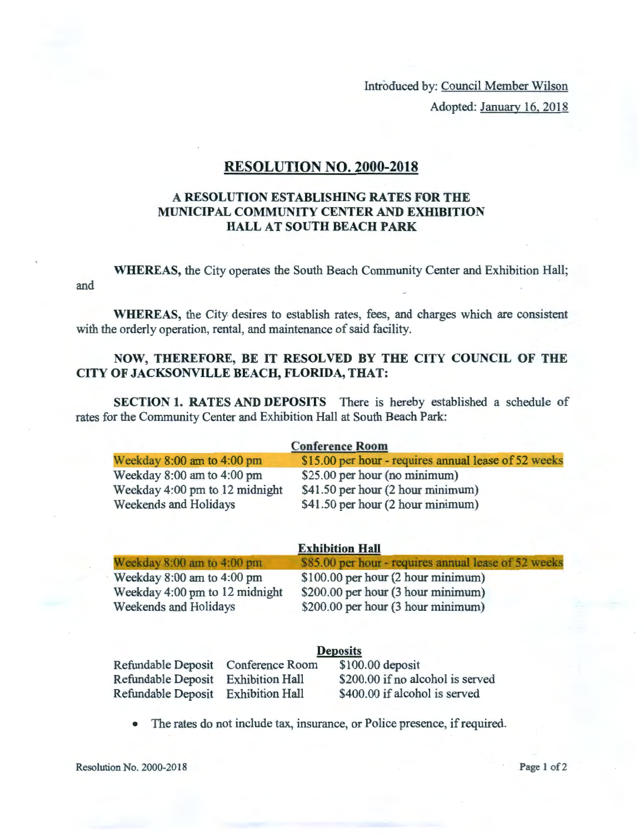Introduced by: Council Member Wilson Adopted: January 16, 2018

## RESOLUTION NO. 2000-2018

## A RESOLUTION ESTABLISHING RATES FOR THE MUNICIPAL COMMUNITY CENTER AND EXHIBITION HALL AT SOUTH BEACH PARK

and WHEREAS, the City operates the South Beach Community Center and Exhibition Hall;

WHEREAS, the City desires to establish rates, fees, and charges which are consistent with the orderly operation, rental, and maintenance of said facility.

## NOW, THEREFORE, BE IT RESOLVED BY THE CITY COUNCIL OF THE CITY OF JACKSONVILLE BEACH, FLORIDA, THAT:

SECTION 1. RATES AND DEPOSITS There is hereby established a schedule of rates for the Community Center and Exhibition Hall at South Beach Park:

| <b>Conference Room</b>         |                                                      |  |
|--------------------------------|------------------------------------------------------|--|
| Weekday $8:00$ am to $4:00$ pm | \$15.00 per hour - requires annual lease of 52 weeks |  |
| Weekday 8:00 am to 4:00 pm     | \$25.00 per hour (no minimum)                        |  |
| Weekday 4:00 pm to 12 midnight | \$41.50 per hour (2 hour minimum)                    |  |
| Weekends and Holidays          | \$41.50 per hour (2 hour minimum)                    |  |

| <b>Exhibition Hall</b>         |                                                      |  |
|--------------------------------|------------------------------------------------------|--|
| Weekday $8:00$ am to $4:00$ pm | \$85.00 per hour - requires annual lease of 52 weeks |  |
| Weekday $8:00$ am to $4:00$ pm | $$100.00$ per hour $(2$ hour minimum)                |  |
| Weekday 4:00 pm to 12 midnight | \$200.00 per hour (3 hour minimum)                   |  |
| Weekends and Holidays          | \$200.00 per hour (3 hour minimum)                   |  |

|                                    | <b>Deposits</b> |                                  |  |
|------------------------------------|-----------------|----------------------------------|--|
| Refundable Deposit Conference Room |                 | $$100.00$ deposit                |  |
| Refundable Deposit Exhibition Hall |                 | \$200.00 if no alcohol is served |  |
| Refundable Deposit Exhibition Hall |                 | \$400.00 if alcohol is served    |  |

• The rates do not include tax, insurance, or Police presence, if required.